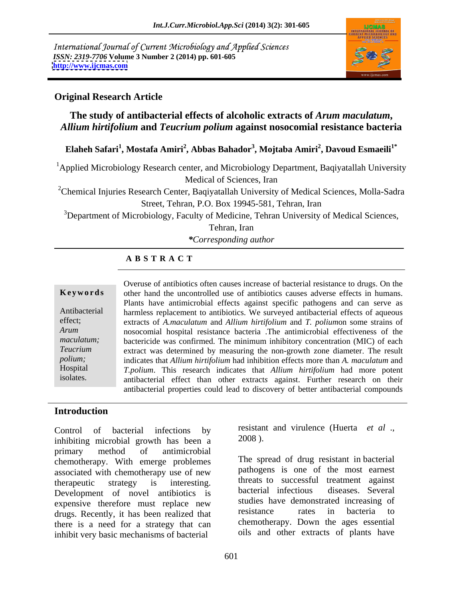International Journal of Current Microbiology and Applied Sciences *ISSN: 2319-7706* **Volume 3 Number 2 (2014) pp. 601-605 <http://www.ijcmas.com>**



# **Original Research Article**

# **The study of antibacterial effects of alcoholic extracts of** *Arum maculatum***,**  *Allium hirtifolium* **and** *Teucrium polium* **against nosocomial resistance bacteria**

**Elaheh Safari<sup>1</sup> , Mostafa Amiri<sup>2</sup> , Abbas Bahador<sup>3</sup> , Mojtaba Amiri<sup>2</sup> , Davoud Esmaeili1\***

<sup>1</sup>Applied Microbiology Research center, and Microbiology Department, Baqiyatallah University Medical of Sciences, Iran

<sup>2</sup>Chemical Injuries Research Center, Baqiyatallah University of Medical Sciences, Molla-Sadra Street, Tehran, P.O. Box 19945-581, Tehran, Iran

<sup>3</sup>Department of Microbiology, Faculty of Medicine, Tehran University of Medical Sciences,

Tehran, Iran

*\*Corresponding author* 

## **A B S T R A C T**

**Keywords** other hand the uncontrolled use of antibiotics causes adverse effects in humans. Antibacterial harmless replacement to antibiotics. We surveyed antibacterial effects of aqueous effect; extracts of *A.maculatum* and *Allium hirtifolium* and *T. polium*on some strains of *Arum*  nosocomial hospital resistance bacteria .The antimicrobial effectiveness of the maculatum; bactericide was confirmed. The minimum inhibitory concentration (MIC) of each *Teucrium*  extract was determined by measuring the non-growth zone diameter The result *polium;*  indicates that *Allium hirtifolium* had inhibition effects more than *A. maculatum* and Hospital *T.polium*. This research indicates that *Allium hirtifolium* had more potent Overuse of antibiotics often causes increase of bacterial resistance to drugs. On the<br>
other hand the uncontrolled use of antibiotics causes adverse effects in humans.<br>
Plants have antimicrobial effects against specific pa Plants have antimicrobial effects against specific pathogens and can serve as antibacterial effect than other extract*s* against. Further research on their antibacterial properties could lead to discovery of better antibacterial compounds

### **Introduction**

inhibiting microbial growth has been  $a = 2008$ ). primary method of antimicrobial <u>y</u> chemotherapy. With emerge problemes associated with chemotherapy use of new therapeutic strategy is interesting. threats to successful treatment against Development of novel antibiotics is bacterial infectious diseases. Several expensive therefore must replace new studies have demonstrated increasing of drugs Becausly it has been realized that the resistance rates in bacteria to drugs. Recently, it has been realized that there is a need for a strategy that can inhibit very basic mechanisms of bacterial

for infections.

Control of bacterial infections by resistant and virulence (Huerta *et al* ., 2008 ).

> The spread of drug resistant in bacterial pathogens is one of the most earnest threats to successful treatment against bacterial infectious diseases. Several studies have demonstrated increasing of resistance rates in bacteria to chemotherapy. Down the ages essential oils and other extracts of plants have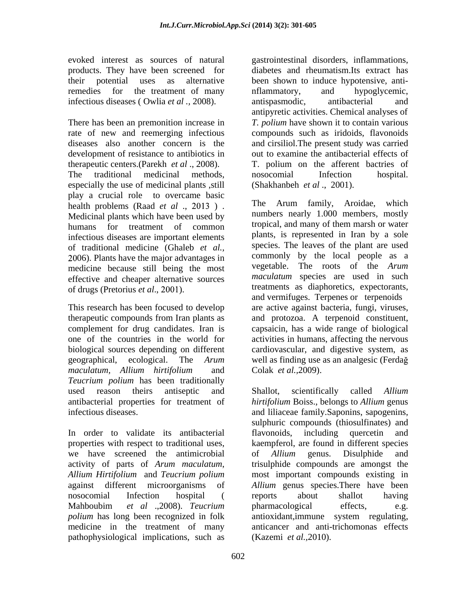products. They have been screened for infectious diseases ( Owlia *et al* ., 2008). antispasmodic, antibacterial and

The traditional medicinal methods, nosocomial Infection hospital. especially the use of medicinal plants ,still play a crucial role to overcame basic<br>health problems (Raad *et al* 2013) The Arum family, Aroidae, which health problems (Raad *et al* ., 2013). Medicinal plants which have been used by infectious diseases are important elements of traditional medicine (Ghaleb *et al.,* 06). Plants have the major advantages in medicine because still being the most effective and cheaper alternative sources of drugs (Pretorius *et al.*, 2001).

*maculatum, Allium hirtifolium* and *Teucrium polium* has been traditionally

In order to validate its antibacterial flavonoids, including quercetin and we have screened the antimicrobial of Allium genus. Disulphide and *polium* has long been recognized in folk antioxidant, immune system regulating, medicine in the treatment of many pathophysiological implications, such as

evoked interest as sources of natural gastrointestinal disorders, inflammations, their potential uses as alternative been shown to induce hypotensive, anti remedies for the treatment of many inflammatory, and hypoglycemic, There has been an premonition increase in *T. polium* have shown it to contain various rate of new and reemerging infectious compounds such as iridoids, flavonoids diseases also another concern is the and cirsiliol.The present study was carried development of resistance to antibiotics in out to examine the antibacterial effects of therapeutic centers.(Parekh *et al* ., 2008). T. polium on the afferent bactries of diabetes and rheumatism.Its extract has nflammatory, and hypoglycemic, antispasmodic, antibacterial and antipyretic activities. Chemical analyses of nosocomial Infection hospital. (Shakhanbeh *et al* ., 2001).

humans for treatment of common tropical, and many of them marsh or water This research has been focused to develop are active against bacteria, fungi, viruses, therapeutic compounds from Iran plants as and protozoa. A terpenoid constituent, complement for drug candidates. Iran is capsaicin, has a wide range of biological one of the countries in the world for activities in humans, affecting the nervous biological sources depending on different cardiovascular, and digestive system, as geographical, ecological. The *Arum*  well as finding use as an analgesic (Ferda The Arum family, Aroidae, which numbers nearly 1.000 members, mostly plants, is represented in Iran by a sole species. The leaves of the plant are used commonly by the local people as a vegetable. The roots of the *Arum maculatum* species are used in such treatments as diaphoretics, expectorants, and vermifuges. Terpenes or terpenoids Colak *et al.,*2009).

used reason theirs antiseptic and Shallot, scientifically called Allium antibacterial properties for treatment of *hirtifolium* Boiss., belongs to *Allium* genus infectious diseases. and liliaceae family.Saponins, sapogenins, properties with respect to traditional uses, kaempferol, are found in different species activity of parts of *Arum maculatum*, trisulphide compounds are amongst the *Allium Hirtifolium* and *Teucrium polium* most important compounds existing in against different microorganisms of Allium genus species. There have been<br>nosocomial Infection hospital ( reports about shallot having Mahboubim *et al* .,2008). *Teucrium*  Shallot, scientifically called *Allium* sulphuric compounds (thiosulfinates) and flavonoids, including quercetin and of *Allium* genus. Disulphide and *Allium* genus species.There have been reports about shallot having pharmacological effects, e.g. antioxidant,immune system regulating, anticancer and anti-trichomonas effects (Kazemi *et al.,*2010).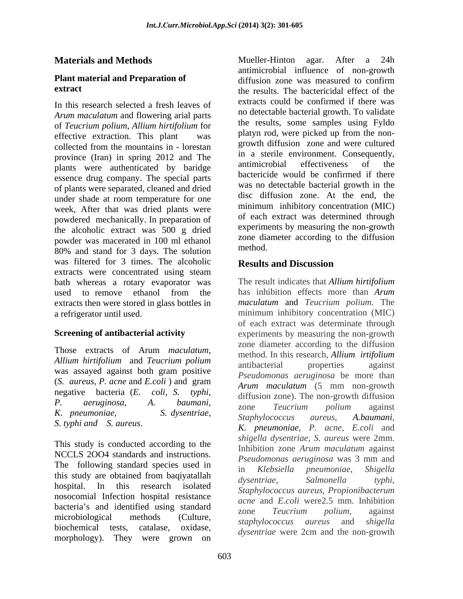In this research selected a fresh leaves of *Arum maculatum* and flowering arial parts of *Teucrium polium*, *Allium hirtifolium* for effective extraction. This plant was collected from the mountains in - lorestan  $\frac{\text{growth}}{\text{c}}$  and were cultured province (Iran) in spring 2012 and The the antimicrobial effectiveness of the plants were authenticated by baridge essence drug company. The special parts of plants were separated, cleaned and dried under shade at room temperature for one week, After that was dried plants were powdered mechanically. In preparation of the alcoholic extract was 500 g dried powder was macerated in 100 ml ethanol zone dia<br>
<sup>2006</sup> and standard for 2 deep. The solution method. 80% and stand for 3 days. The solution method. was filtered for 3 times. The alcoholic **Results and Discussion** extracts were concentrated using steam bath whereas a rotary evaporator was used to remove ethanol from the has inhibition effects more than Arum extracts then were stored in glass bottles in a refrigerator until used. minimum inhibitory concentration (MIC)

This study is conducted according to the NCCLS 2004 standards and instructions.<br>Pseudomonas aeruginosa was 3 mm and The following standard species used in The *Klebsiella pneumoniae*, *Shigella* the this study are obtained from badily attached<br>hospital. In this research isolated  $\alpha$  is the contract of the second property at the term nosocomial Infection hospital resistance bacteria's and identified using standard<br>zone Teucrium polium, against biochemical tests, catalase, oxidase, *dysentriae* were 2cm and the non-growthmorphology). They were grown on

**Materials and Methods Plant material and Preparation of** *diffusion zone* was measured to confirm **extract** the results. The bactericidal effect of the Mueller-Hinton agar. After a 24h antimicrobial influence of non-growth diffusion zone was measured to confirm extracts could be confirmed if there was no detectable bacterial growth. To validate the results, some samples using Fyldo platyn rod, were picked up from the non growth diffusion zone and were cultured in a sterile environment. Consequently, antimicrobial effectiveness of the bactericide would be confirmed if there was no detectable bacterial growth in the disc diffusion zone. At the end, the minimum inhibitory concentration (MIC) of each extract was determined through experiments by measuring the non-growth zone diameter according to the diffusion method.

# **Results and Discussion**

**Screening of antibacterial activity** experiments by measuring the non-growth Those extracts of Arum *maculatum*, and the *mathod* In this recept all *lium* intifalium *Allium hirtifolium* and *Teucrium polium*<br>was assayed against both gram positive begandamonas aeruginosa be more than (*S. aureus*, *P. acne* and *E.coli* ) and gram negative bacteria (*E. coli, S. typhi,* diffusion zone). The non-growth diffusion<br>P. *aeruginosa, A. baumani, zone Taucrium* polium against *K. pneumoniae, S. dysentriae, S. typhi and S. aureus*. this study are obtained from baqiyatallah disearching subsequential control of the subsequential control of the salmon of the salmon of the salmon of the salmon of the salmon of the salmon of the salmon of the salmon of th microbiological methods (Culture,  $\frac{25.0 \text{ m}}{\text{stanh} \cdot \text{log} \cdot \text{log} \cdot \text{log} \cdot \text{log} \cdot \text{log} \cdot \text{log} \cdot \text{log} \cdot \text{log} \cdot \text{log} \cdot \text{log} \cdot \text{log} \cdot \text{log} \cdot \text{log} \cdot \text{log} \cdot \text{log} \cdot \text{log} \cdot \text{log} \cdot \text{log} \cdot \text{log} \cdot \text{log} \cdot \text{log} \cdot \text{log} \cdot \text{log} \cdot \text{log} \$ The result indicates that *Allium hirtifolium* has inhibition effects more than *Arum maculatum* and *Teucrium polium*. The of each extract was determinate through zone diameter according to the diffusion method. In this research, *Allium irtifolium* antibacterial properties against *Pseudomonas aeruginosa* be more than *Arum maculatum* (5 mm non-growth diffusion zone). The non-growth diffusion zone *Teucrium polium* against *Staphylococcus aureus*, *A.baumani, K. pneumoniae*, *P. acne, E.coli* and *shigella dysentriae*, *S. aureus* were 2mm. Inhibition zone *Arum maculatum* against *Pseudomonas aeruginosa* was 3 mm and in *Klebsiella pneumoniae*, *Shigella dysentriae*, *Salmonella typhi*, *Staphylococcus aureus*, *Propionibacterum acne* and *E.coli* were2.5 mm. Inhibition zone *Teucrium polium*, against *staphylococcus aureus* and *shigella*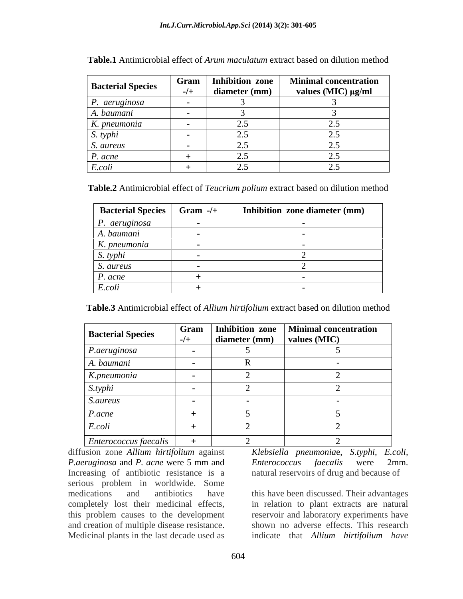|                          | Gram   | <b>Inhibition zone</b> | <b>Minimal concentration</b> |
|--------------------------|--------|------------------------|------------------------------|
| <b>Bacterial Species</b> | $-/-$  | diameter (mm)          | values (MIC) µg/ml           |
| P. aeruginosa            | $\sim$ |                        |                              |
| A. baumani               |        |                        |                              |
| K. pneumonia             |        | ,.                     |                              |
| S. typhi                 |        |                        |                              |
| S. aureus                |        |                        |                              |
| $P. \text{acne}$         |        |                        |                              |
| E.coli                   |        |                        |                              |

**Table.1** Antimicrobial effect of *Arum maculatum* extract based on dilution method

**Table.2** Antimicrobial effect of *Teucrium polium* extract based on dilution method

| <b>Bacterial Species</b> | Gram $-$ /+ | Inhibition zone diameter (mm) |
|--------------------------|-------------|-------------------------------|
| $P.$ aeruginosa          |             |                               |
| A. baumani               |             |                               |
| K. pneumonia             |             |                               |
| S. typhi                 |             |                               |
| <i>S. aureus</i>         |             |                               |
| $P. \text{acne}$         |             |                               |
| E. coli                  |             |                               |

**Table.3** Antimicrobial effect of *Allium hirtifolium* extract based on dilution method

| <b>Bacterial Species</b> | Gram  | Inhibition zone | <b>Minimal concentration</b> |
|--------------------------|-------|-----------------|------------------------------|
|                          | $-/+$ | diameter (mm)   | values (MIC)                 |
| P.aeruginosa             |       |                 |                              |
| A. baumani               |       |                 |                              |
| K.pneumonia              |       |                 |                              |
| S.typhi                  |       |                 |                              |
| S.aureus                 |       |                 |                              |
| P.acne                   |       |                 |                              |
| E.coli                   |       |                 |                              |
| Enterococcus faecalis    |       |                 |                              |

diffusion zone *Allium hirtifolium* against *P.aeruginosa* and *P. acne* were 5 mm and Increasing of antibiotic resistance is a serious problem in worldwide. Some medications and antibiotics have this have been discussed. Their advantages completely lost their medicinal effects, in relation to plant extracts arenatural this problem causes to the development reservoir and laboratory experiments have and creation of multiple disease resistance.

*Klebsiella pneumonia*e, *S.typhi, E.coli, Enterococcus faecalis* were 2mm. natural reservoirs of drug and because of

Medicinal plants in the last decade used as indicate that *Allium hirtifolium have*  shown no adverse effects. This research